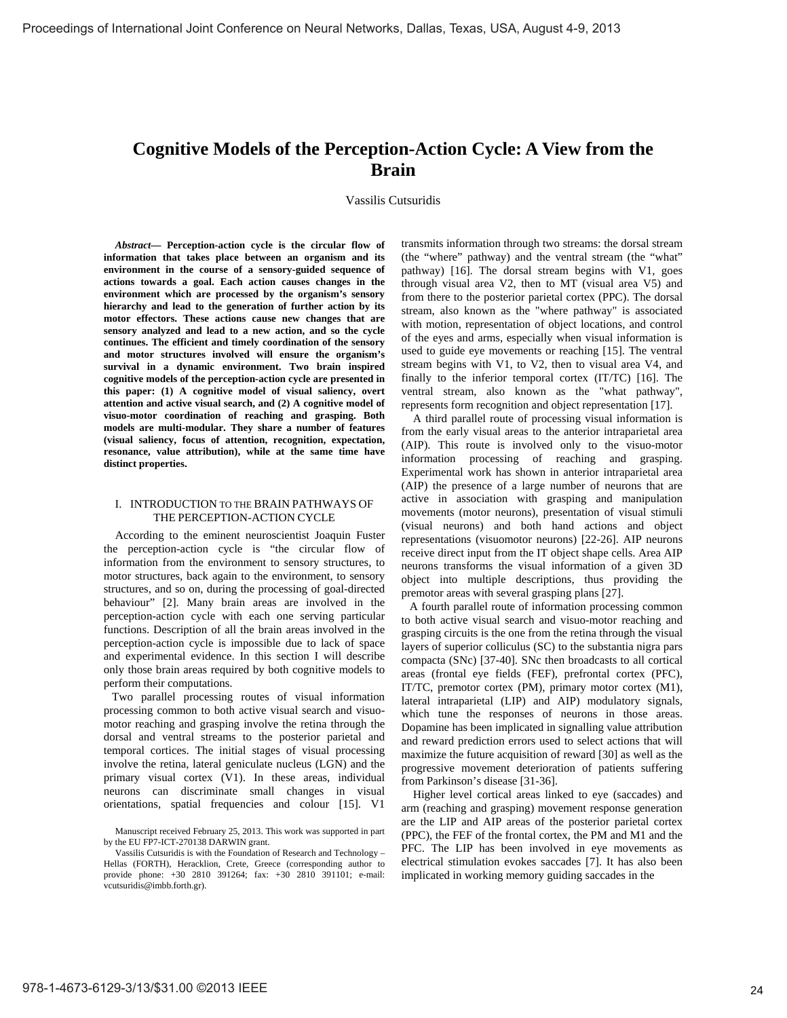# **Cognitive Models of the Perception-Action Cycle: A View from the Brain**

Vassilis Cutsuridis

*Abstract***— Perception-action cycle is the circular flow of information that takes place between an organism and its environment in the course of a sensory-guided sequence of actions towards a goal. Each action causes changes in the environment which are processed by the organism's sensory hierarchy and lead to the generation of further action by its motor effectors. These actions cause new changes that are sensory analyzed and lead to a new action, and so the cycle continues. The efficient and timely coordination of the sensory and motor structures involved will ensure the organism's survival in a dynamic environment. Two brain inspired cognitive models of the perception-action cycle are presented in this paper: (1) A cognitive model of visual saliency, overt attention and active visual search, and (2) A cognitive model of visuo-motor coordination of reaching and grasping. Both models are multi-modular. They share a number of features (visual saliency, focus of attention, recognition, expectation, resonance, value attribution), while at the same time have distinct properties.** 

#### I. INTRODUCTION TO THE BRAIN PATHWAYS OF THE PERCEPTION-ACTION CYCLE

According to the eminent neuroscientist Joaquin Fuster the perception-action cycle is "the circular flow of information from the environment to sensory structures, to motor structures, back again to the environment, to sensory structures, and so on, during the processing of goal-directed behaviour" [2]. Many brain areas are involved in the perception-action cycle with each one serving particular functions. Description of all the brain areas involved in the perception-action cycle is impossible due to lack of space and experimental evidence. In this section I will describe only those brain areas required by both cognitive models to perform their computations.

Two parallel processing routes of visual information processing common to both active visual search and visuomotor reaching and grasping involve the retina through the dorsal and ventral streams to the posterior parietal and temporal cortices. The initial stages of visual processing involve the retina, lateral geniculate nucleus (LGN) and the primary visual cortex (V1). In these areas, individual neurons can discriminate small changes in visual orientations, spatial frequencies and colour [15]. V1 transmits information through two streams: the dorsal stream (the "where" pathway) and the ventral stream (the "what" pathway) [16]. The dorsal stream begins with V1, goes through visual area V2, then to MT (visual area V5) and from there to the posterior parietal cortex (PPC). The dorsal stream, also known as the "where pathway" is associated with motion, representation of object locations, and control of the eyes and arms, especially when visual information is used to guide eye movements or reaching [15]. The ventral stream begins with V1, to V2, then to visual area V4, and finally to the inferior temporal cortex (IT/TC) [16]. The ventral stream, also known as the "what pathway", represents form recognition and object representation [17].

A third parallel route of processing visual information is from the early visual areas to the anterior intraparietal area (AIP). This route is involved only to the visuo-motor information processing of reaching and grasping. Experimental work has shown in anterior intraparietal area (AIP) the presence of a large number of neurons that are active in association with grasping and manipulation movements (motor neurons), presentation of visual stimuli (visual neurons) and both hand actions and object representations (visuomotor neurons) [22-26]. AIP neurons receive direct input from the IT object shape cells. Area AIP neurons transforms the visual information of a given 3D object into multiple descriptions, thus providing the premotor areas with several grasping plans [27].

A fourth parallel route of information processing common to both active visual search and visuo-motor reaching and grasping circuits is the one from the retina through the visual layers of superior colliculus (SC) to the substantia nigra pars compacta (SNc) [37-40]. SNc then broadcasts to all cortical areas (frontal eye fields (FEF), prefrontal cortex (PFC), IT/TC, premotor cortex (PM), primary motor cortex (M1), lateral intraparietal (LIP) and AIP) modulatory signals, which tune the responses of neurons in those areas. Dopamine has been implicated in signalling value attribution and reward prediction errors used to select actions that will maximize the future acquisition of reward [30] as well as the progressive movement deterioration of patients suffering from Parkinson's disease [31-36].

Higher level cortical areas linked to eye (saccades) and arm (reaching and grasping) movement response generation are the LIP and AIP areas of the posterior parietal cortex (PPC), the FEF of the frontal cortex, the PM and M1 and the PFC. The LIP has been involved in eye movements as electrical stimulation evokes saccades [7]. It has also been implicated in working memory guiding saccades in the

Manuscript received February 25, 2013. This work was supported in part by the EU FP7-ICT-270138 DARWIN grant.

Vassilis Cutsuridis is with the Foundation of Research and Technology – Hellas (FORTH), Heracklion, Crete, Greece (corresponding author to provide phone: +30 2810 391264; fax: +30 2810 391101; e-mail: vcutsuridis@imbb.forth.gr).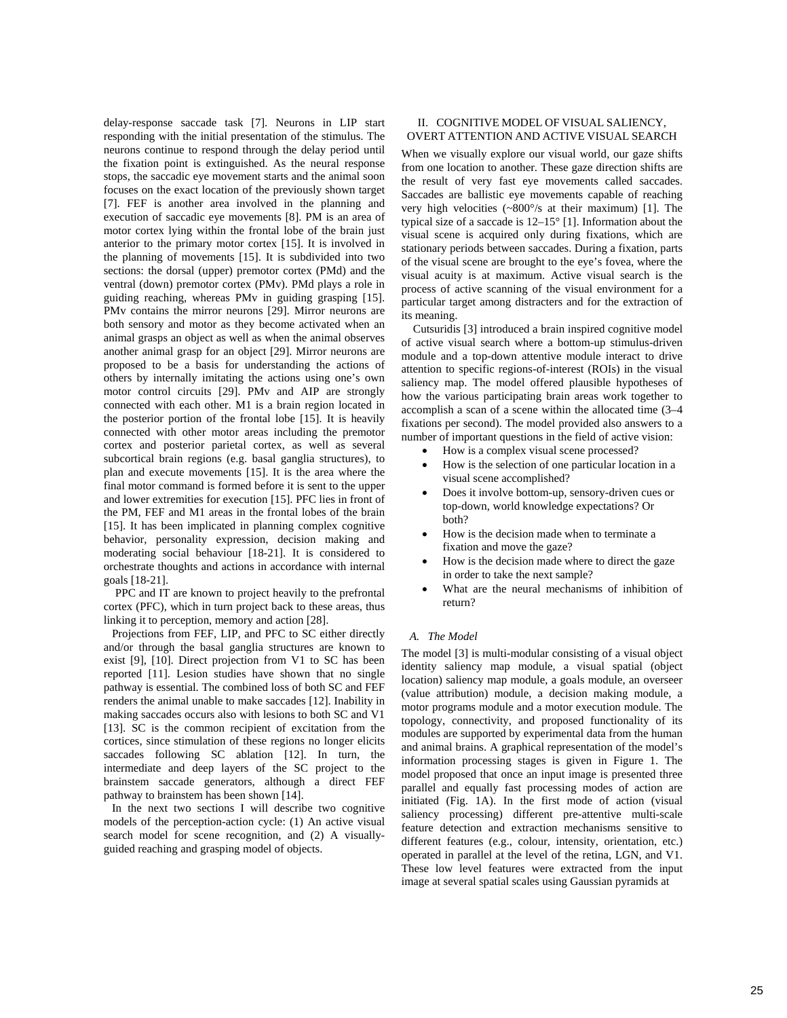delay-response saccade task [7]. Neurons in LIP start responding with the initial presentation of the stimulus. The neurons continue to respond through the delay period until the fixation point is extinguished. As the neural response stops, the saccadic eye movement starts and the animal soon focuses on the exact location of the previously shown target [7]. FEF is another area involved in the planning and execution of saccadic eye movements [8]. PM is an area of motor cortex lying within the frontal lobe of the brain just anterior to the primary motor cortex [15]. It is involved in the planning of movements [15]. It is subdivided into two sections: the dorsal (upper) premotor cortex (PMd) and the ventral (down) premotor cortex (PMv). PMd plays a role in guiding reaching, whereas PMv in guiding grasping [15]. PMv contains the mirror neurons [29]. Mirror neurons are both sensory and motor as they become activated when an animal grasps an object as well as when the animal observes another animal grasp for an object [29]. Mirror neurons are proposed to be a basis for understanding the actions of others by internally imitating the actions using one's own motor control circuits [29]. PMv and AIP are strongly connected with each other. M1 is a brain region located in the posterior portion of the frontal lobe [15]. It is heavily connected with other motor areas including the premotor cortex and posterior parietal cortex, as well as several subcortical brain regions (e.g. basal ganglia structures), to plan and execute movements [15]. It is the area where the final motor command is formed before it is sent to the upper and lower extremities for execution [15]. PFC lies in front of the PM, FEF and M1 areas in the frontal lobes of the brain [15]. It has been implicated in planning complex cognitive behavior, personality expression, decision making and moderating social behaviour [18-21]. It is considered to orchestrate thoughts and actions in accordance with internal goals [18-21].

PPC and IT are known to project heavily to the prefrontal cortex (PFC), which in turn project back to these areas, thus linking it to perception, memory and action [28].

Projections from FEF, LIP, and PFC to SC either directly and/or through the basal ganglia structures are known to exist [9], [10]. Direct projection from V1 to SC has been reported [11]. Lesion studies have shown that no single pathway is essential. The combined loss of both SC and FEF renders the animal unable to make saccades [12]. Inability in making saccades occurs also with lesions to both SC and V1 [13]. SC is the common recipient of excitation from the cortices, since stimulation of these regions no longer elicits saccades following SC ablation [12]. In turn, the intermediate and deep layers of the SC project to the brainstem saccade generators, although a direct FEF pathway to brainstem has been shown [14].

In the next two sections I will describe two cognitive models of the perception-action cycle: (1) An active visual search model for scene recognition, and (2) A visuallyguided reaching and grasping model of objects.

## II. COGNITIVE MODEL OF VISUAL SALIENCY, OVERT ATTENTION AND ACTIVE VISUAL SEARCH

When we visually explore our visual world, our gaze shifts from one location to another. These gaze direction shifts are the result of very fast eye movements called saccades. Saccades are ballistic eye movements capable of reaching very high velocities (~800°/s at their maximum) [1]. The typical size of a saccade is 12–15° [1]. Information about the visual scene is acquired only during fixations, which are stationary periods between saccades. During a fixation, parts of the visual scene are brought to the eye's fovea, where the visual acuity is at maximum. Active visual search is the process of active scanning of the visual environment for a particular target among distracters and for the extraction of its meaning.

 Cutsuridis [3] introduced a brain inspired cognitive model of active visual search where a bottom-up stimulus-driven module and a top-down attentive module interact to drive attention to specific regions-of-interest (ROIs) in the visual saliency map. The model offered plausible hypotheses of how the various participating brain areas work together to accomplish a scan of a scene within the allocated time (3–4 fixations per second). The model provided also answers to a number of important questions in the field of active vision:

- How is a complex visual scene processed?
- How is the selection of one particular location in a visual scene accomplished?
- Does it involve bottom-up, sensory-driven cues or top-down, world knowledge expectations? Or both?
- How is the decision made when to terminate a fixation and move the gaze?
- How is the decision made where to direct the gaze in order to take the next sample?
- What are the neural mechanisms of inhibition of return?

## *A. The Model*

The model [3] is multi-modular consisting of a visual object identity saliency map module, a visual spatial (object location) saliency map module, a goals module, an overseer (value attribution) module, a decision making module, a motor programs module and a motor execution module. The topology, connectivity, and proposed functionality of its modules are supported by experimental data from the human and animal brains. A graphical representation of the model's information processing stages is given in Figure 1. The model proposed that once an input image is presented three parallel and equally fast processing modes of action are initiated (Fig. 1A). In the first mode of action (visual saliency processing) different pre-attentive multi-scale feature detection and extraction mechanisms sensitive to different features (e.g., colour, intensity, orientation, etc.) operated in parallel at the level of the retina, LGN, and V1. These low level features were extracted from the input image at several spatial scales using Gaussian pyramids at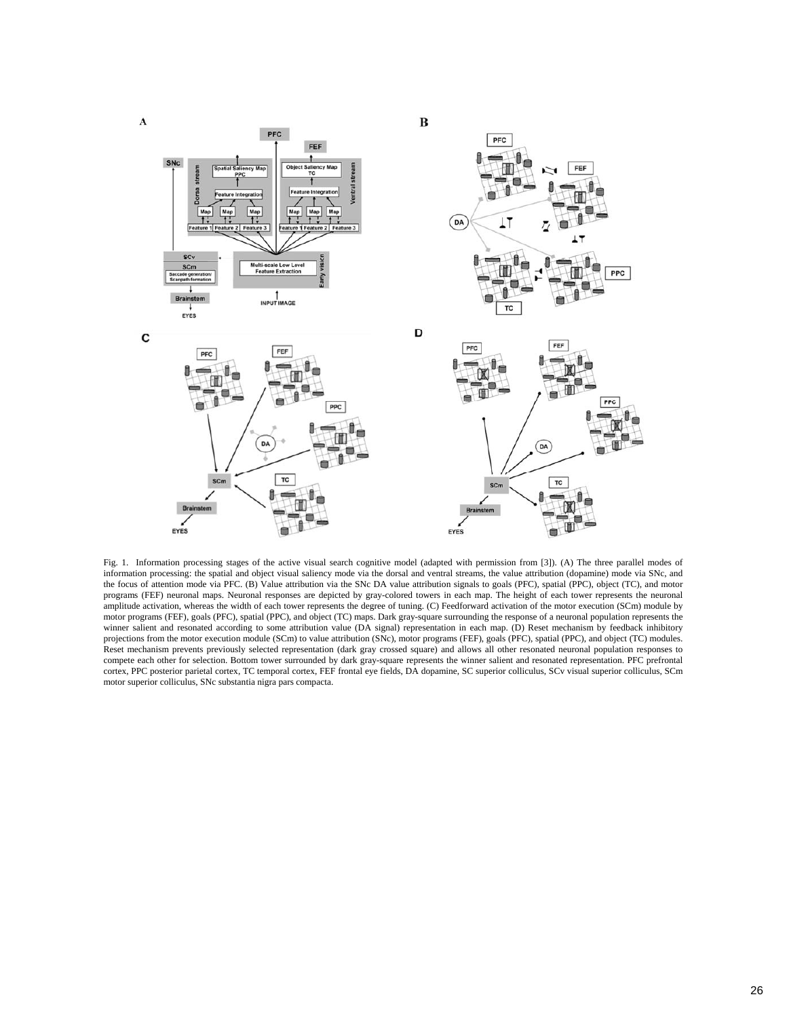

Fig. 1. Information processing stages of the active visual search cognitive model (adapted with permission from [3]). (A) The three parallel modes of information processing: the spatial and object visual saliency mode via the dorsal and ventral streams, the value attribution (dopamine) mode via SNc, and the focus of attention mode via PFC. (B) Value attribution via the SNc DA value attribution signals to goals (PFC), spatial (PPC), object (TC), and motor programs (FEF) neuronal maps. Neuronal responses are depicted by gray-colored towers in each map. The height of each tower represents the neuronal amplitude activation, whereas the width of each tower represents the degree of tuning. (C) Feedforward activation of the motor execution (SCm) module by motor programs (FEF), goals (PFC), spatial (PPC), and object (TC) maps. Dark gray-square surrounding the response of a neuronal population represents the winner salient and resonated according to some attribution value (DA signal) representation in each map. (D) Reset mechanism by feedback inhibitory projections from the motor execution module (SCm) to value attribution (SNc), motor programs (FEF), goals (PFC), spatial (PPC), and object (TC) modules. Reset mechanism prevents previously selected representation (dark gray crossed square) and allows all other resonated neuronal population responses to compete each other for selection. Bottom tower surrounded by dark gray-square represents the winner salient and resonated representation. PFC prefrontal cortex, PPC posterior parietal cortex, TC temporal cortex, FEF frontal eye fields, DA dopamine, SC superior colliculus, SCv visual superior colliculus, SCm motor superior colliculus, SNc substantia nigra pars compacta.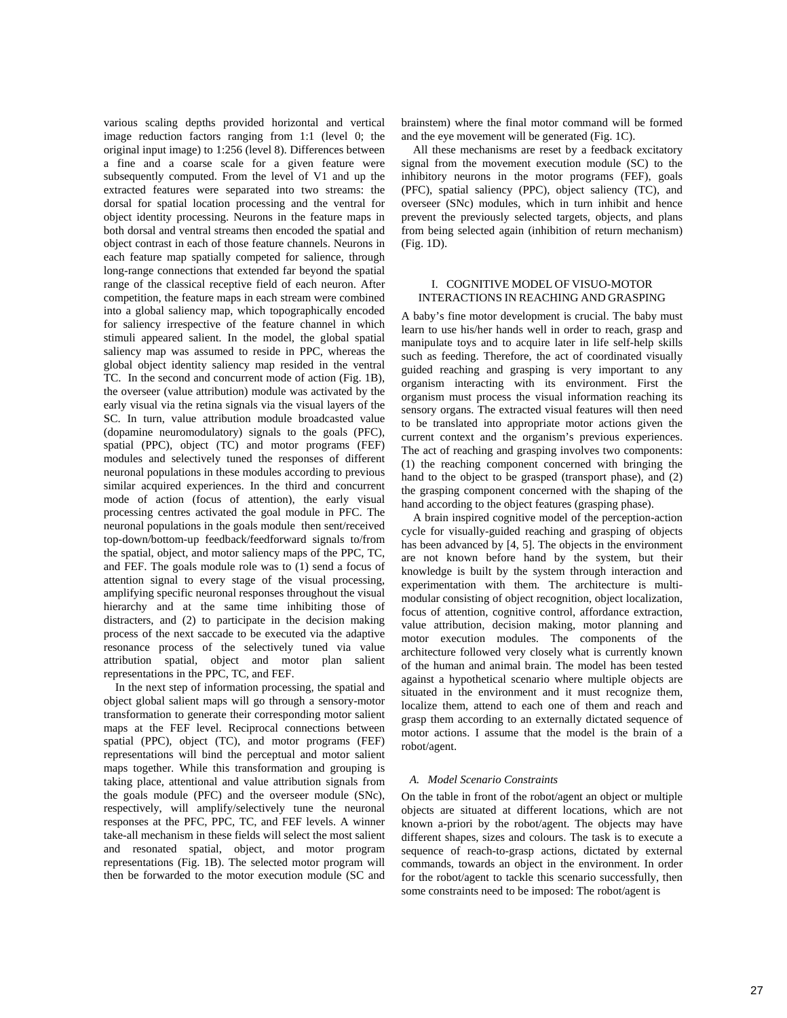various scaling depths provided horizontal and vertical image reduction factors ranging from 1:1 (level 0; the original input image) to 1:256 (level 8). Differences between a fine and a coarse scale for a given feature were subsequently computed. From the level of V1 and up the extracted features were separated into two streams: the dorsal for spatial location processing and the ventral for object identity processing. Neurons in the feature maps in both dorsal and ventral streams then encoded the spatial and object contrast in each of those feature channels. Neurons in each feature map spatially competed for salience, through long-range connections that extended far beyond the spatial range of the classical receptive field of each neuron. After competition, the feature maps in each stream were combined into a global saliency map, which topographically encoded for saliency irrespective of the feature channel in which stimuli appeared salient. In the model, the global spatial saliency map was assumed to reside in PPC, whereas the global object identity saliency map resided in the ventral TC. In the second and concurrent mode of action (Fig. 1B), the overseer (value attribution) module was activated by the early visual via the retina signals via the visual layers of the SC. In turn, value attribution module broadcasted value (dopamine neuromodulatory) signals to the goals (PFC), spatial (PPC), object (TC) and motor programs (FEF) modules and selectively tuned the responses of different neuronal populations in these modules according to previous similar acquired experiences. In the third and concurrent mode of action (focus of attention), the early visual processing centres activated the goal module in PFC. The neuronal populations in the goals module then sent/received top-down/bottom-up feedback/feedforward signals to/from the spatial, object, and motor saliency maps of the PPC, TC, and FEF. The goals module role was to (1) send a focus of attention signal to every stage of the visual processing, amplifying specific neuronal responses throughout the visual hierarchy and at the same time inhibiting those of distracters, and (2) to participate in the decision making process of the next saccade to be executed via the adaptive resonance process of the selectively tuned via value attribution spatial, object and motor plan salient representations in the PPC, TC, and FEF.

In the next step of information processing, the spatial and object global salient maps will go through a sensory-motor transformation to generate their corresponding motor salient maps at the FEF level. Reciprocal connections between spatial (PPC), object (TC), and motor programs (FEF) representations will bind the perceptual and motor salient maps together. While this transformation and grouping is taking place, attentional and value attribution signals from the goals module (PFC) and the overseer module (SNc), respectively, will amplify/selectively tune the neuronal responses at the PFC, PPC, TC, and FEF levels. A winner take-all mechanism in these fields will select the most salient and resonated spatial, object, and motor program representations (Fig. 1B). The selected motor program will then be forwarded to the motor execution module (SC and

brainstem) where the final motor command will be formed and the eye movement will be generated (Fig. 1C).

 All these mechanisms are reset by a feedback excitatory signal from the movement execution module (SC) to the inhibitory neurons in the motor programs (FEF), goals (PFC), spatial saliency (PPC), object saliency (TC), and overseer (SNc) modules, which in turn inhibit and hence prevent the previously selected targets, objects, and plans from being selected again (inhibition of return mechanism) (Fig. 1D).

#### I. COGNITIVE MODEL OF VISUO-MOTOR INTERACTIONS IN REACHING AND GRASPING

A baby's fine motor development is crucial. The baby must learn to use his/her hands well in order to reach, grasp and manipulate toys and to acquire later in life self-help skills such as feeding. Therefore, the act of coordinated visually guided reaching and grasping is very important to any organism interacting with its environment. First the organism must process the visual information reaching its sensory organs. The extracted visual features will then need to be translated into appropriate motor actions given the current context and the organism's previous experiences. The act of reaching and grasping involves two components: (1) the reaching component concerned with bringing the hand to the object to be grasped (transport phase), and (2) the grasping component concerned with the shaping of the hand according to the object features (grasping phase).

A brain inspired cognitive model of the perception-action cycle for visually-guided reaching and grasping of objects has been advanced by [4, 5]. The objects in the environment are not known before hand by the system, but their knowledge is built by the system through interaction and experimentation with them. The architecture is multimodular consisting of object recognition, object localization, focus of attention, cognitive control, affordance extraction, value attribution, decision making, motor planning and motor execution modules. The components of the architecture followed very closely what is currently known of the human and animal brain. The model has been tested against a hypothetical scenario where multiple objects are situated in the environment and it must recognize them, localize them, attend to each one of them and reach and grasp them according to an externally dictated sequence of motor actions. I assume that the model is the brain of a robot/agent.

## *A. Model Scenario Constraints*

On the table in front of the robot/agent an object or multiple objects are situated at different locations, which are not known a-priori by the robot/agent. The objects may have different shapes, sizes and colours. The task is to execute a sequence of reach-to-grasp actions, dictated by external commands, towards an object in the environment. In order for the robot/agent to tackle this scenario successfully, then some constraints need to be imposed: The robot/agent is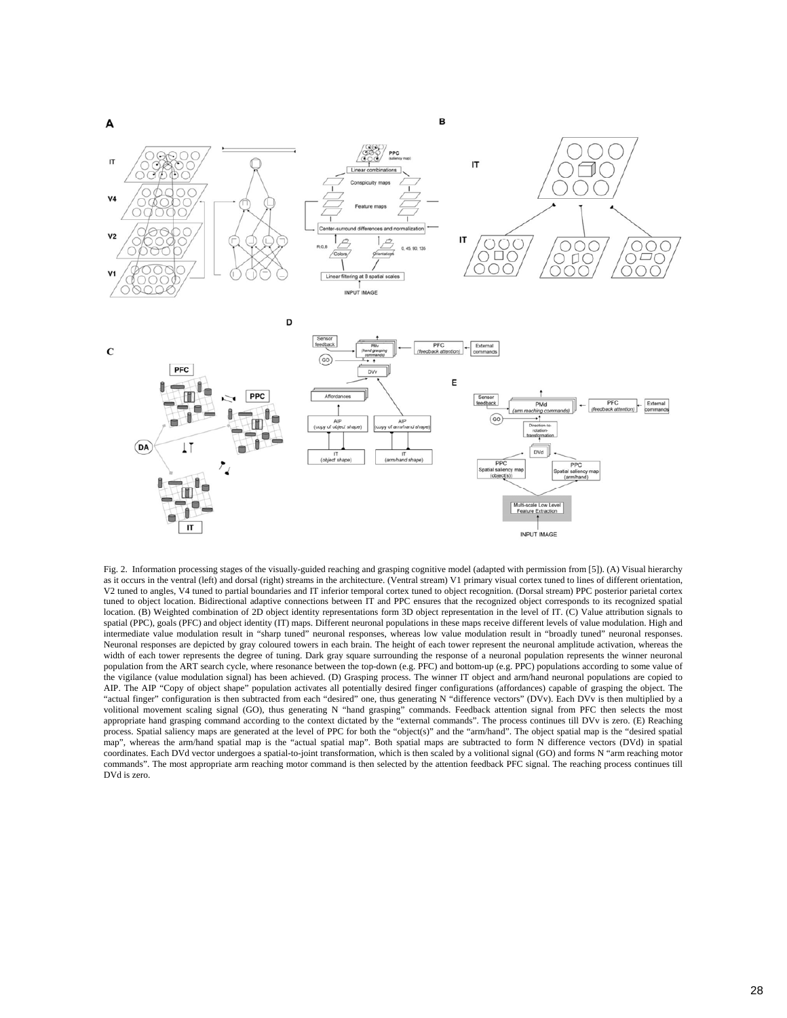

Fig. 2. Information processing stages of the visually-guided reaching and grasping cognitive model (adapted with permission from [5]). (A) Visual hierarchy as it occurs in the ventral (left) and dorsal (right) streams in the architecture. (Ventral stream) V1 primary visual cortex tuned to lines of different orientation, V2 tuned to angles, V4 tuned to partial boundaries and IT inferior temporal cortex tuned to object recognition. (Dorsal stream) PPC posterior parietal cortex tuned to object location. Bidirectional adaptive connections between IT and PPC ensures that the recognized object corresponds to its recognized spatial location. (B) Weighted combination of 2D object identity representations form 3D object representation in the level of IT. (C) Value attribution signals to spatial (PPC), goals (PFC) and object identity (IT) maps. Different neuronal populations in these maps receive different levels of value modulation. High and intermediate value modulation result in "sharp tuned" neuronal responses, whereas low value modulation result in "broadly tuned" neuronal responses. Neuronal responses are depicted by gray coloured towers in each brain. The height of each tower represent the neuronal amplitude activation, whereas the width of each tower represents the degree of tuning. Dark gray square surrounding the response of a neuronal population represents the winner neuronal population from the ART search cycle, where resonance between the top-down (e.g. PFC) and bottom-up (e.g. PPC) populations according to some value of the vigilance (value modulation signal) has been achieved. (D) Grasping process. The winner IT object and arm/hand neuronal populations are copied to AIP. The AIP "Copy of object shape" population activates all potentially desired finger configurations (affordances) capable of grasping the object. The "actual finger" configuration is then subtracted from each "desired" one, thus generating N "difference vectors" (DVv). Each DVv is then multiplied by a volitional movement scaling signal (GO), thus generating N "hand grasping" commands. Feedback attention signal from PFC then selects the most appropriate hand grasping command according to the context dictated by the "external commands". The process continues till DVv is zero. (E) Reaching process. Spatial saliency maps are generated at the level of PPC for both the "object(s)" and the "arm/hand". The object spatial map is the "desired spatial map", whereas the arm/hand spatial map is the "actual spatial map". Both spatial maps are subtracted to form N difference vectors (DVd) in spatial coordinates. Each DVd vector undergoes a spatial-to-joint transformation, which is then scaled by a volitional signal (GO) and forms N "arm reaching motor commands". The most appropriate arm reaching motor command is then selected by the attention feedback PFC signal. The reaching process continues till DVd is zero.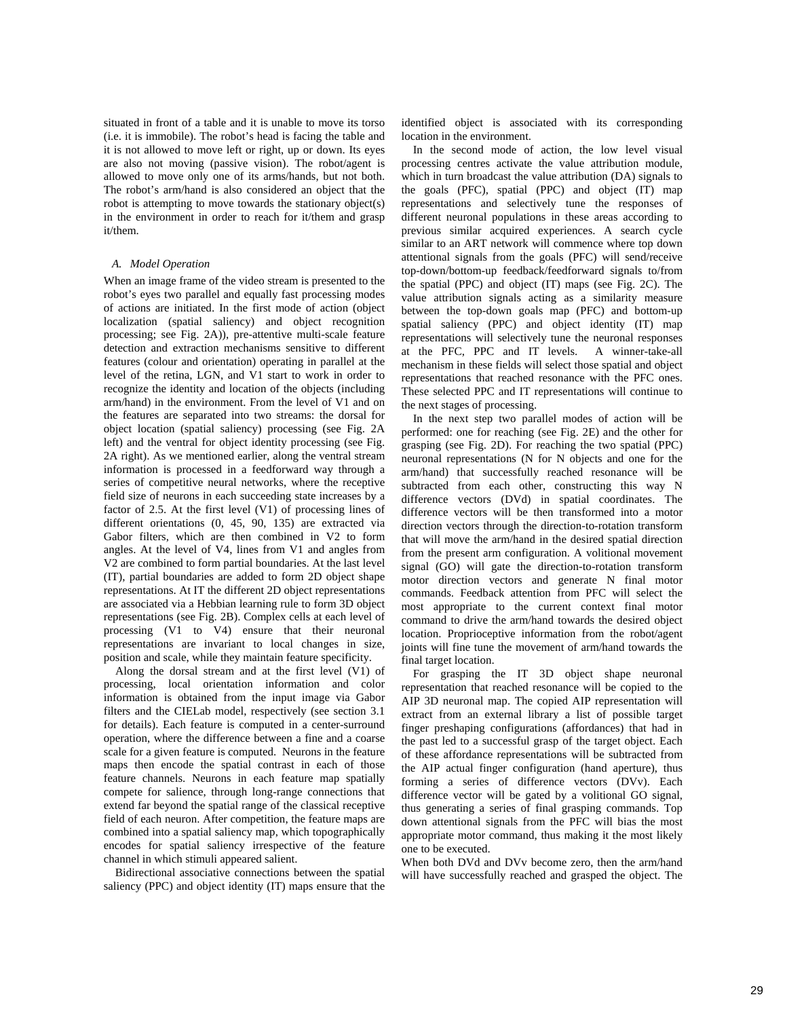situated in front of a table and it is unable to move its torso (i.e. it is immobile). The robot's head is facing the table and it is not allowed to move left or right, up or down. Its eyes are also not moving (passive vision). The robot/agent is allowed to move only one of its arms/hands, but not both. The robot's arm/hand is also considered an object that the robot is attempting to move towards the stationary object(s) in the environment in order to reach for it/them and grasp it/them.

#### *A. Model Operation*

When an image frame of the video stream is presented to the robot's eyes two parallel and equally fast processing modes of actions are initiated. In the first mode of action (object localization (spatial saliency) and object recognition processing; see Fig. 2A)), pre-attentive multi-scale feature detection and extraction mechanisms sensitive to different features (colour and orientation) operating in parallel at the level of the retina, LGN, and V1 start to work in order to recognize the identity and location of the objects (including arm/hand) in the environment. From the level of V1 and on the features are separated into two streams: the dorsal for object location (spatial saliency) processing (see Fig. 2A left) and the ventral for object identity processing (see Fig. 2A right). As we mentioned earlier, along the ventral stream information is processed in a feedforward way through a series of competitive neural networks, where the receptive field size of neurons in each succeeding state increases by a factor of 2.5. At the first level (V1) of processing lines of different orientations (0, 45, 90, 135) are extracted via Gabor filters, which are then combined in V2 to form angles. At the level of V4, lines from V1 and angles from V2 are combined to form partial boundaries. At the last level (IT), partial boundaries are added to form 2D object shape representations. At IT the different 2D object representations are associated via a Hebbian learning rule to form 3D object representations (see Fig. 2B). Complex cells at each level of processing (V1 to V4) ensure that their neuronal representations are invariant to local changes in size, position and scale, while they maintain feature specificity.

 Along the dorsal stream and at the first level (V1) of processing, local orientation information and color information is obtained from the input image via Gabor filters and the CIELab model, respectively (see section 3.1 for details). Each feature is computed in a center-surround operation, where the difference between a fine and a coarse scale for a given feature is computed. Neurons in the feature maps then encode the spatial contrast in each of those feature channels. Neurons in each feature map spatially compete for salience, through long-range connections that extend far beyond the spatial range of the classical receptive field of each neuron. After competition, the feature maps are combined into a spatial saliency map, which topographically encodes for spatial saliency irrespective of the feature channel in which stimuli appeared salient.

Bidirectional associative connections between the spatial saliency (PPC) and object identity (IT) maps ensure that the identified object is associated with its corresponding location in the environment.

In the second mode of action, the low level visual processing centres activate the value attribution module, which in turn broadcast the value attribution (DA) signals to the goals (PFC), spatial (PPC) and object (IT) map representations and selectively tune the responses of different neuronal populations in these areas according to previous similar acquired experiences. A search cycle similar to an ART network will commence where top down attentional signals from the goals (PFC) will send/receive top-down/bottom-up feedback/feedforward signals to/from the spatial (PPC) and object (IT) maps (see Fig. 2C). The value attribution signals acting as a similarity measure between the top-down goals map (PFC) and bottom-up spatial saliency (PPC) and object identity (IT) map representations will selectively tune the neuronal responses at the PFC, PPC and IT levels. A winner-take-all mechanism in these fields will select those spatial and object representations that reached resonance with the PFC ones. These selected PPC and IT representations will continue to the next stages of processing.

In the next step two parallel modes of action will be performed: one for reaching (see Fig. 2E) and the other for grasping (see Fig. 2D). For reaching the two spatial (PPC) neuronal representations (N for N objects and one for the arm/hand) that successfully reached resonance will be subtracted from each other, constructing this way N difference vectors (DVd) in spatial coordinates. The difference vectors will be then transformed into a motor direction vectors through the direction-to-rotation transform that will move the arm/hand in the desired spatial direction from the present arm configuration. A volitional movement signal (GO) will gate the direction-to-rotation transform motor direction vectors and generate N final motor commands. Feedback attention from PFC will select the most appropriate to the current context final motor command to drive the arm/hand towards the desired object location. Proprioceptive information from the robot/agent joints will fine tune the movement of arm/hand towards the final target location.

For grasping the IT 3D object shape neuronal representation that reached resonance will be copied to the AIP 3D neuronal map. The copied AIP representation will extract from an external library a list of possible target finger preshaping configurations (affordances) that had in the past led to a successful grasp of the target object. Each of these affordance representations will be subtracted from the AIP actual finger configuration (hand aperture), thus forming a series of difference vectors (DVv). Each difference vector will be gated by a volitional GO signal, thus generating a series of final grasping commands. Top down attentional signals from the PFC will bias the most appropriate motor command, thus making it the most likely one to be executed.

When both DVd and DVv become zero, then the arm/hand will have successfully reached and grasped the object. The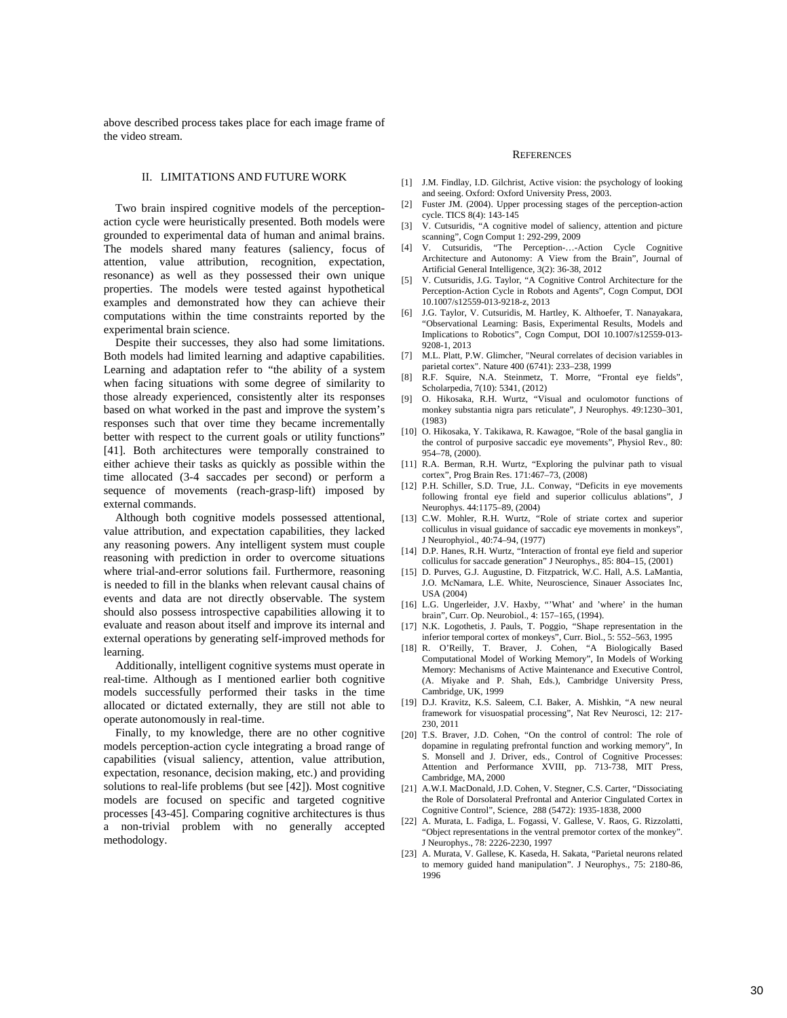above described process takes place for each image frame of the video stream.

# II. LIMITATIONS AND FUTURE WORK

 Two brain inspired cognitive models of the perceptionaction cycle were heuristically presented. Both models were grounded to experimental data of human and animal brains. The models shared many features (saliency, focus of attention, value attribution, recognition, expectation, resonance) as well as they possessed their own unique properties. The models were tested against hypothetical examples and demonstrated how they can achieve their computations within the time constraints reported by the experimental brain science.

Despite their successes, they also had some limitations. Both models had limited learning and adaptive capabilities. Learning and adaptation refer to "the ability of a system when facing situations with some degree of similarity to those already experienced, consistently alter its responses based on what worked in the past and improve the system's responses such that over time they became incrementally better with respect to the current goals or utility functions" [41]. Both architectures were temporally constrained to either achieve their tasks as quickly as possible within the time allocated (3-4 saccades per second) or perform a sequence of movements (reach-grasp-lift) imposed by external commands.

Although both cognitive models possessed attentional, value attribution, and expectation capabilities, they lacked any reasoning powers. Any intelligent system must couple reasoning with prediction in order to overcome situations where trial-and-error solutions fail. Furthermore, reasoning is needed to fill in the blanks when relevant causal chains of events and data are not directly observable. The system should also possess introspective capabilities allowing it to evaluate and reason about itself and improve its internal and external operations by generating self-improved methods for learning.

Additionally, intelligent cognitive systems must operate in real-time. Although as I mentioned earlier both cognitive models successfully performed their tasks in the time allocated or dictated externally, they are still not able to operate autonomously in real-time.

Finally, to my knowledge, there are no other cognitive models perception-action cycle integrating a broad range of capabilities (visual saliency, attention, value attribution, expectation, resonance, decision making, etc.) and providing solutions to real-life problems (but see [42]). Most cognitive models are focused on specific and targeted cognitive processes [43-45]. Comparing cognitive architectures is thus a non-trivial problem with no generally accepted methodology.

#### **REFERENCES**

- [1] J.M. Findlay, I.D. Gilchrist, Active vision: the psychology of looking and seeing. Oxford: Oxford University Press, 2003.
- [2] Fuster JM. (2004). Upper processing stages of the perception-action cycle. TICS 8(4): 143-145
- [3] V. Cutsuridis, "A cognitive model of saliency, attention and picture scanning", Cogn Comput 1: 292-299, 2009
- [4] V. Cutsuridis, "The Perception-…-Action Cycle Cognitive Architecture and Autonomy: A View from the Brain", Journal of Artificial General Intelligence, 3(2): 36-38, 2012
- [5] V. Cutsuridis, J.G. Taylor, "A Cognitive Control Architecture for the Perception-Action Cycle in Robots and Agents", Cogn Comput, DOI 10.1007/s12559-013-9218-z, 2013
- [6] J.G. Taylor, V. Cutsuridis, M. Hartley, K. Althoefer, T. Nanayakara, "Observational Learning: Basis, Experimental Results, Models and Implications to Robotics", Cogn Comput, DOI 10.1007/s12559-013- 9208-1, 2013
- [7] M.L. Platt, P.W. Glimcher, "Neural correlates of decision variables in parietal cortex". Nature 400 (6741): 233–238, 1999
- R.F. Squire, N.A. Steinmetz, T. Morre, "Frontal eye fields", Scholarpedia, 7(10): 5341, (2012)
- [9] O. Hikosaka, R.H. Wurtz, "Visual and oculomotor functions of monkey substantia nigra pars reticulate", J Neurophys. 49:1230–301, (1983)
- [10] O. Hikosaka, Y. Takikawa, R. Kawagoe, "Role of the basal ganglia in the control of purposive saccadic eye movements", Physiol Rev., 80: 954–78, (2000).
- [11] R.A. Berman, R.H. Wurtz, "Exploring the pulvinar path to visual cortex", Prog Brain Res. 171:467–73, (2008)
- [12] P.H. Schiller, S.D. True, J.L. Conway, "Deficits in eye movements following frontal eye field and superior colliculus ablations", J Neurophys. 44:1175–89, (2004)
- [13] C.W. Mohler, R.H. Wurtz, "Role of striate cortex and superior colliculus in visual guidance of saccadic eye movements in monkeys", J Neurophyiol., 40:74–94, (1977)
- [14] D.P. Hanes, R.H. Wurtz, "Interaction of frontal eye field and superior colliculus for saccade generation" J Neurophys., 85: 804–15, (2001)
- [15] D. Purves, G.J. Augustine, D. Fitzpatrick, W.C. Hall, A.S. LaMantia, J.O. McNamara, L.E. White, Neuroscience, Sinauer Associates Inc, USA (2004)
- [16] L.G. Ungerleider, J.V. Haxby, "'What' and 'where' in the human brain", Curr. Op. Neurobiol., 4: 157–165, (1994).
- [17] N.K. Logothetis, J. Pauls, T. Poggio, "Shape representation in the inferior temporal cortex of monkeys", Curr. Biol., 5: 552–563, 1995
- [18] R. O'Reilly, T. Braver, J. Cohen, "A Biologically Based Computational Model of Working Memory", In Models of Working Memory: Mechanisms of Active Maintenance and Executive Control, (A. Miyake and P. Shah, Eds.), Cambridge University Press, Cambridge, UK, 1999
- [19] D.J. Kravitz, K.S. Saleem, C.I. Baker, A. Mishkin, "A new neural framework for visuospatial processing", Nat Rev Neurosci, 12: 217- 230, 2011
- [20] T.S. Braver, J.D. Cohen, "On the control of control: The role of dopamine in regulating prefrontal function and working memory", In S. Monsell and J. Driver, eds., Control of Cognitive Processes: Attention and Performance XVIII, pp. 713-738, MIT Press, Cambridge, MA, 2000
- [21] A.W.I. MacDonald, J.D. Cohen, V. Stegner, C.S. Carter, "Dissociating the Role of Dorsolateral Prefrontal and Anterior Cingulated Cortex in Cognitive Control", Science, 288 (5472): 1935-1838, 2000
- [22] A. Murata, L. Fadiga, L. Fogassi, V. Gallese, V. Raos, G. Rizzolatti, "Object representations in the ventral premotor cortex of the monkey". J Neurophys., 78: 2226-2230, 1997
- [23] A. Murata, V. Gallese, K. Kaseda, H. Sakata, "Parietal neurons related to memory guided hand manipulation". J Neurophys., 75: 2180-86, 1996